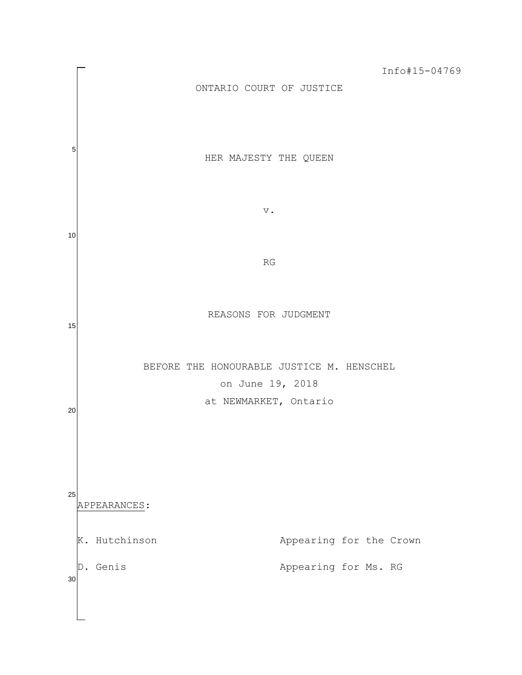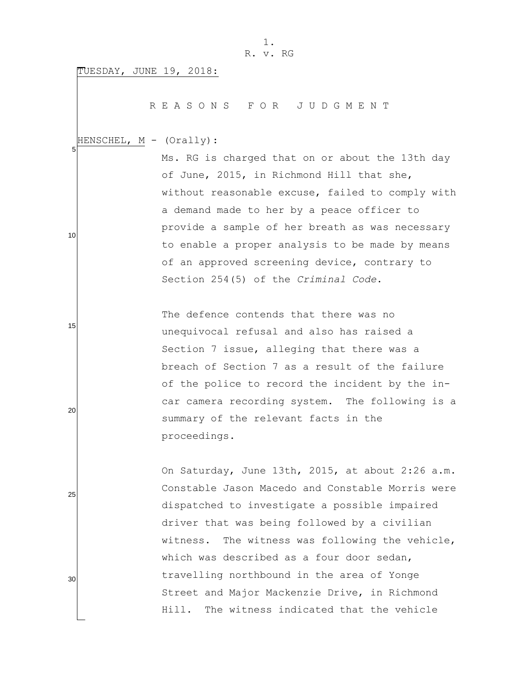TUESDAY, JUNE 19, 2018:

R E A S O N S F O R J U D G M E N T

 5 HENSCHEL, M - (Orally):

Ms. RG is charged that on or about the 13th day of June, 2015, in Richmond Hill that she, without reasonable excuse, failed to comply with a demand made to her by a peace officer to provide a sample of her breath as was necessary to enable a proper analysis to be made by means of an approved screening device, contrary to Section 254(5) of the *Criminal Code*.

The defence contends that there was no unequivocal refusal and also has raised a Section 7 issue, alleging that there was a breach of Section 7 as a result of the failure of the police to record the incident by the incar camera recording system. The following is a summary of the relevant facts in the proceedings.

On Saturday, June 13th, 2015, at about 2:26 a.m. Constable Jason Macedo and Constable Morris were dispatched to investigate a possible impaired driver that was being followed by a civilian witness. The witness was following the vehicle, which was described as a four door sedan, travelling northbound in the area of Yonge Street and Major Mackenzie Drive, in Richmond Hill. The witness indicated that the vehicle

25

10

15

20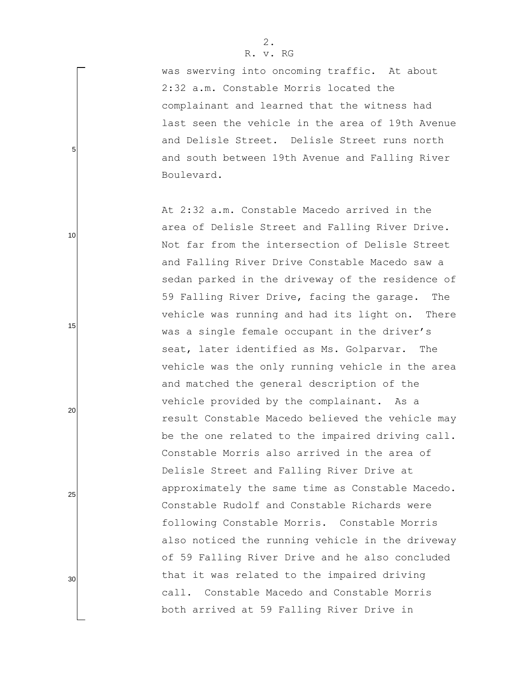was swerving into oncoming traffic. At about 2:32 a.m. Constable Morris located the complainant and learned that the witness had last seen the vehicle in the area of 19th Avenue and Delisle Street. Delisle Street runs north and south between 19th Avenue and Falling River Boulevard.

At 2:32 a.m. Constable Macedo arrived in the area of Delisle Street and Falling River Drive. Not far from the intersection of Delisle Street and Falling River Drive Constable Macedo saw a sedan parked in the driveway of the residence of 59 Falling River Drive, facing the garage. The vehicle was running and had its light on. There was a single female occupant in the driver's seat, later identified as Ms. Golparvar. The vehicle was the only running vehicle in the area and matched the general description of the vehicle provided by the complainant. As a result Constable Macedo believed the vehicle may be the one related to the impaired driving call. Constable Morris also arrived in the area of Delisle Street and Falling River Drive at approximately the same time as Constable Macedo. Constable Rudolf and Constable Richards were following Constable Morris. Constable Morris also noticed the running vehicle in the driveway of 59 Falling River Drive and he also concluded that it was related to the impaired driving call. Constable Macedo and Constable Morris both arrived at 59 Falling River Drive in

5

10

20

15

25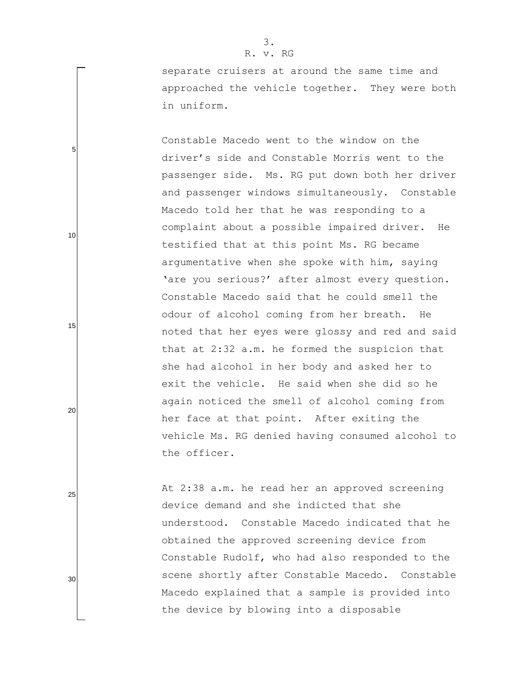separate cruisers at around the same time and approached the vehicle together. They were both in uniform.

Constable Macedo went to the window on the driver"s side and Constable Morris went to the passenger side. Ms. RG put down both her driver and passenger windows simultaneously. Constable Macedo told her that he was responding to a complaint about a possible impaired driver. He testified that at this point Ms. RG became argumentative when she spoke with him, saying 'are you serious?' after almost every question. Constable Macedo said that he could smell the odour of alcohol coming from her breath. He noted that her eyes were glossy and red and said that at 2:32 a.m. he formed the suspicion that she had alcohol in her body and asked her to exit the vehicle. He said when she did so he again noticed the smell of alcohol coming from her face at that point. After exiting the vehicle Ms. RG denied having consumed alcohol to the officer.

At 2:38 a.m. he read her an approved screening device demand and she indicted that she understood. Constable Macedo indicated that he obtained the approved screening device from Constable Rudolf, who had also responded to the scene shortly after Constable Macedo. Constable Macedo explained that a sample is provided into the device by blowing into a disposable

3. R. v. RG

5

10

15

20

25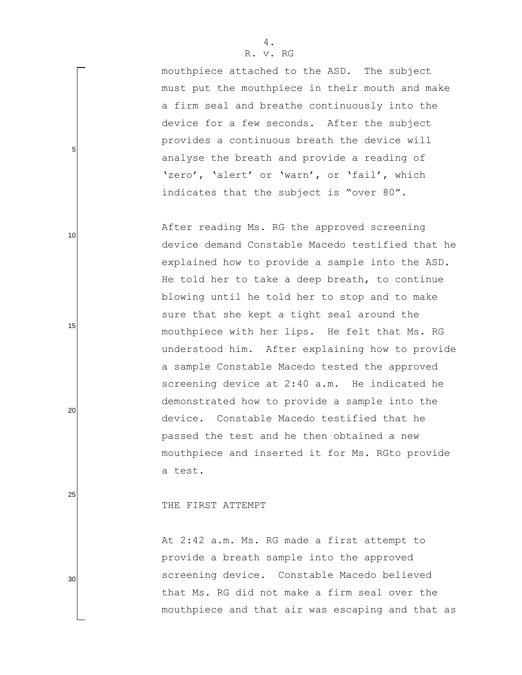mouthpiece attached to the ASD. The subject must put the mouthpiece in their mouth and make a firm seal and breathe continuously into the device for a few seconds. After the subject provides a continuous breath the device will analyse the breath and provide a reading of 'zero', 'alert' or 'warn', or 'fail', which indicates that the subject is "over 80".

After reading Ms. RG the approved screening device demand Constable Macedo testified that he explained how to provide a sample into the ASD. He told her to take a deep breath, to continue blowing until he told her to stop and to make sure that she kept a tight seal around the mouthpiece with her lips. He felt that Ms. RG understood him. After explaining how to provide a sample Constable Macedo tested the approved screening device at 2:40 a.m. He indicated he demonstrated how to provide a sample into the device. Constable Macedo testified that he passed the test and he then obtained a new mouthpiece and inserted it for Ms. RGto provide a test.

THE FIRST ATTEMPT

At 2:42 a.m. Ms. RG made a first attempt to provide a breath sample into the approved screening device. Constable Macedo believed that Ms. RG did not make a firm seal over the mouthpiece and that air was escaping and that as

25

5

10

15

20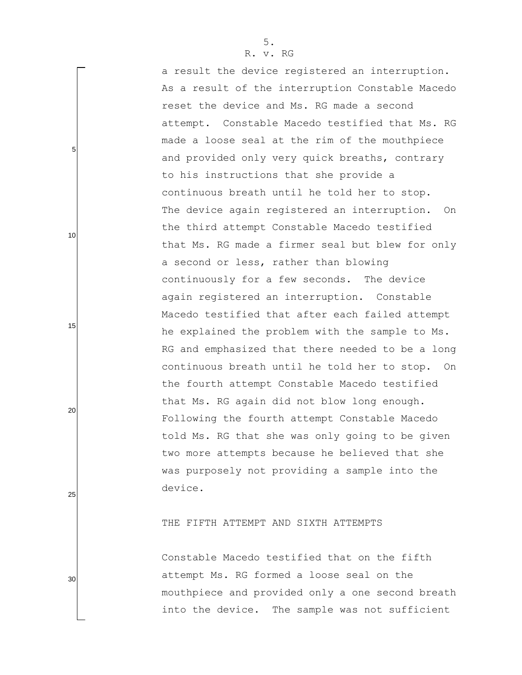5

10

15

20

25

30

a result the device registered an interruption. As a result of the interruption Constable Macedo reset the device and Ms. RG made a second attempt. Constable Macedo testified that Ms. RG made a loose seal at the rim of the mouthpiece and provided only very quick breaths, contrary to his instructions that she provide a continuous breath until he told her to stop. The device again registered an interruption. On the third attempt Constable Macedo testified that Ms. RG made a firmer seal but blew for only a second or less, rather than blowing continuously for a few seconds. The device again registered an interruption. Constable Macedo testified that after each failed attempt he explained the problem with the sample to Ms. RG and emphasized that there needed to be a long continuous breath until he told her to stop. On the fourth attempt Constable Macedo testified that Ms. RG again did not blow long enough. Following the fourth attempt Constable Macedo told Ms. RG that she was only going to be given two more attempts because he believed that she was purposely not providing a sample into the device.

## THE FIFTH ATTEMPT AND SIXTH ATTEMPTS

Constable Macedo testified that on the fifth attempt Ms. RG formed a loose seal on the mouthpiece and provided only a one second breath into the device. The sample was not sufficient

5.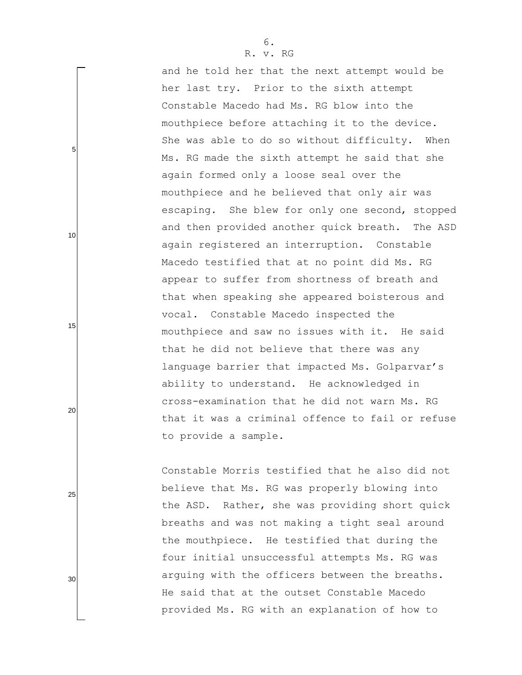and he told her that the next attempt would be her last try. Prior to the sixth attempt Constable Macedo had Ms. RG blow into the mouthpiece before attaching it to the device. She was able to do so without difficulty. When Ms. RG made the sixth attempt he said that she again formed only a loose seal over the mouthpiece and he believed that only air was escaping. She blew for only one second, stopped and then provided another quick breath. The ASD again registered an interruption. Constable Macedo testified that at no point did Ms. RG appear to suffer from shortness of breath and that when speaking she appeared boisterous and vocal. Constable Macedo inspected the mouthpiece and saw no issues with it. He said that he did not believe that there was any language barrier that impacted Ms. Golparvar's ability to understand. He acknowledged in cross-examination that he did not warn Ms. RG that it was a criminal offence to fail or refuse to provide a sample.

Constable Morris testified that he also did not believe that Ms. RG was properly blowing into the ASD. Rather, she was providing short quick breaths and was not making a tight seal around the mouthpiece. He testified that during the four initial unsuccessful attempts Ms. RG was arguing with the officers between the breaths. He said that at the outset Constable Macedo provided Ms. RG with an explanation of how to

5

10

15

20

25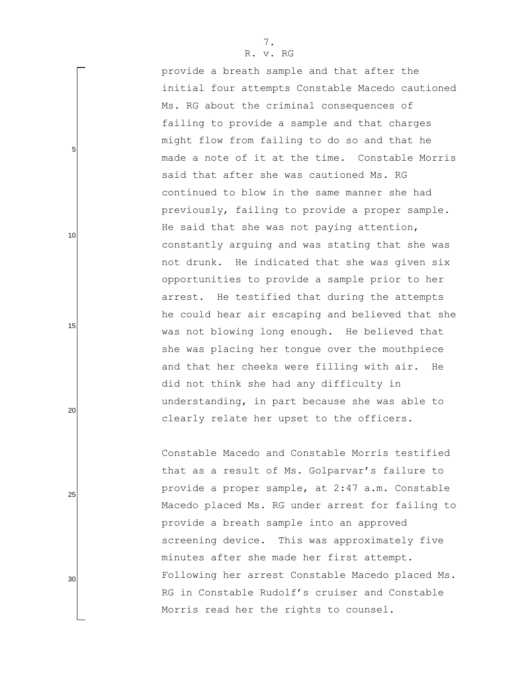provide a breath sample and that after the initial four attempts Constable Macedo cautioned Ms. RG about the criminal consequences of failing to provide a sample and that charges might flow from failing to do so and that he made a note of it at the time. Constable Morris said that after she was cautioned Ms. RG continued to blow in the same manner she had previously, failing to provide a proper sample. He said that she was not paying attention, constantly arguing and was stating that she was not drunk. He indicated that she was given six opportunities to provide a sample prior to her arrest. He testified that during the attempts he could hear air escaping and believed that she was not blowing long enough. He believed that she was placing her tongue over the mouthpiece and that her cheeks were filling with air. He did not think she had any difficulty in understanding, in part because she was able to clearly relate her upset to the officers.

Constable Macedo and Constable Morris testified that as a result of Ms. Golparvar's failure to provide a proper sample, at 2:47 a.m. Constable Macedo placed Ms. RG under arrest for failing to provide a breath sample into an approved screening device. This was approximately five minutes after she made her first attempt. Following her arrest Constable Macedo placed Ms. RG in Constable Rudolf"s cruiser and Constable Morris read her the rights to counsel.

25

20

5

10

15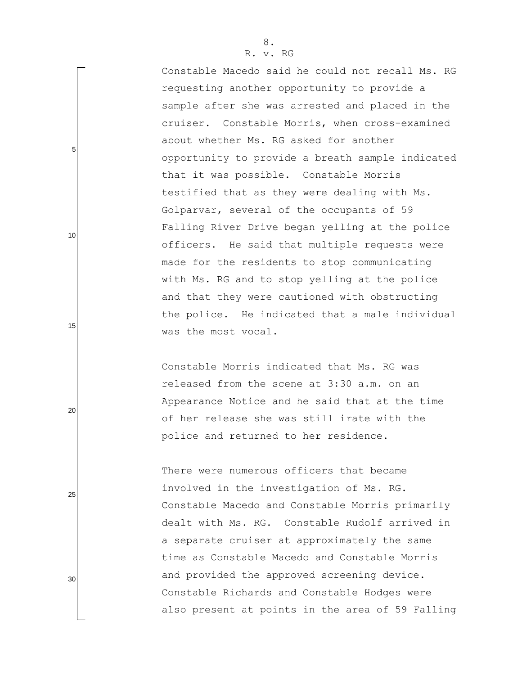Constable Macedo said he could not recall Ms. RG requesting another opportunity to provide a sample after she was arrested and placed in the cruiser. Constable Morris, when cross-examined about whether Ms. RG asked for another opportunity to provide a breath sample indicated that it was possible. Constable Morris testified that as they were dealing with Ms. Golparvar, several of the occupants of 59 Falling River Drive began yelling at the police officers. He said that multiple requests were made for the residents to stop communicating with Ms. RG and to stop yelling at the police and that they were cautioned with obstructing the police. He indicated that a male individual was the most vocal.

Constable Morris indicated that Ms. RG was released from the scene at 3:30 a.m. on an Appearance Notice and he said that at the time of her release she was still irate with the police and returned to her residence.

There were numerous officers that became involved in the investigation of Ms. RG. Constable Macedo and Constable Morris primarily dealt with Ms. RG. Constable Rudolf arrived in a separate cruiser at approximately the same time as Constable Macedo and Constable Morris and provided the approved screening device. Constable Richards and Constable Hodges were also present at points in the area of 59 Falling

20

15

5

10

25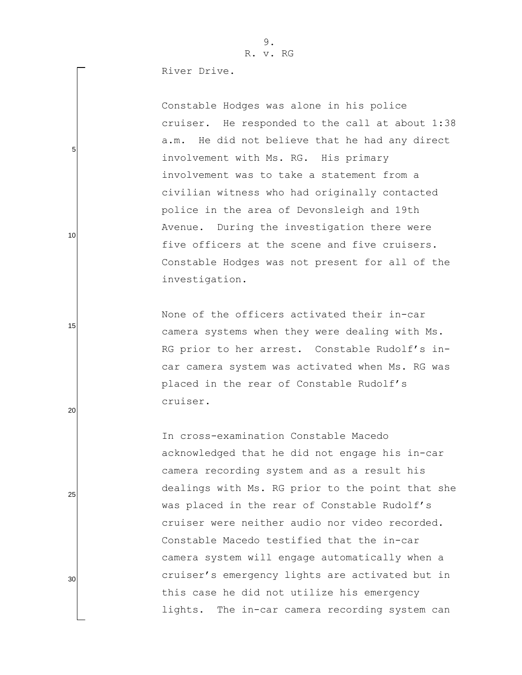River Drive.

5

10

15

20

25

30

Constable Hodges was alone in his police cruiser. He responded to the call at about 1:38 a.m. He did not believe that he had any direct involvement with Ms. RG. His primary involvement was to take a statement from a civilian witness who had originally contacted police in the area of Devonsleigh and 19th Avenue. During the investigation there were five officers at the scene and five cruisers. Constable Hodges was not present for all of the investigation.

None of the officers activated their in-car camera systems when they were dealing with Ms. RG prior to her arrest. Constable Rudolf's incar camera system was activated when Ms. RG was placed in the rear of Constable Rudolf"s cruiser.

In cross-examination Constable Macedo acknowledged that he did not engage his in-car camera recording system and as a result his dealings with Ms. RG prior to the point that she was placed in the rear of Constable Rudolf's cruiser were neither audio nor video recorded. Constable Macedo testified that the in-car camera system will engage automatically when a cruiser"s emergency lights are activated but in this case he did not utilize his emergency lights. The in-car camera recording system can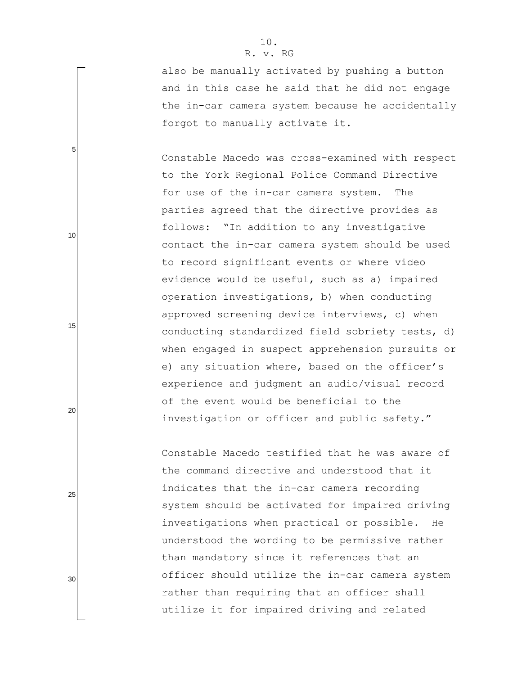5

10

15

20

25

30

also be manually activated by pushing a button and in this case he said that he did not engage the in-car camera system because he accidentally forgot to manually activate it.

Constable Macedo was cross-examined with respect to the York Regional Police Command Directive for use of the in-car camera system. The parties agreed that the directive provides as follows: "In addition to any investigative contact the in-car camera system should be used to record significant events or where video evidence would be useful, such as a) impaired operation investigations, b) when conducting approved screening device interviews, c) when conducting standardized field sobriety tests, d) when engaged in suspect apprehension pursuits or e) any situation where, based on the officer's experience and judgment an audio/visual record of the event would be beneficial to the investigation or officer and public safety."

Constable Macedo testified that he was aware of the command directive and understood that it indicates that the in-car camera recording system should be activated for impaired driving investigations when practical or possible. He understood the wording to be permissive rather than mandatory since it references that an officer should utilize the in-car camera system rather than requiring that an officer shall utilize it for impaired driving and related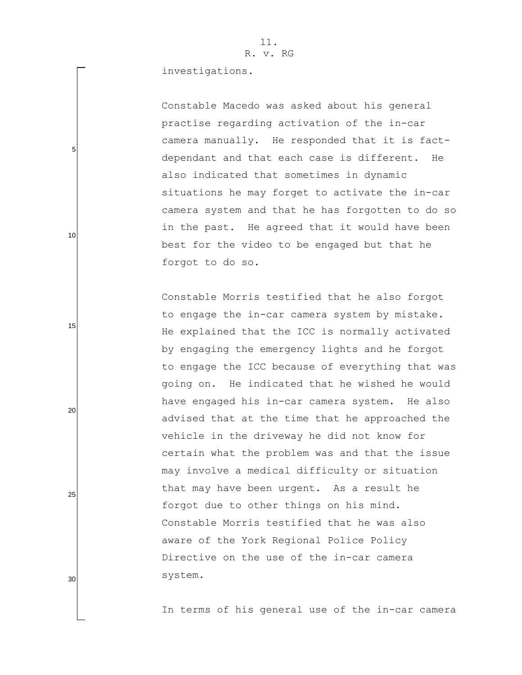investigations.

Constable Macedo was asked about his general practise regarding activation of the in-car camera manually. He responded that it is factdependant and that each case is different. He also indicated that sometimes in dynamic situations he may forget to activate the in-car camera system and that he has forgotten to do so in the past. He agreed that it would have been best for the video to be engaged but that he forgot to do so.

Constable Morris testified that he also forgot to engage the in-car camera system by mistake. He explained that the ICC is normally activated by engaging the emergency lights and he forgot to engage the ICC because of everything that was going on. He indicated that he wished he would have engaged his in-car camera system. He also advised that at the time that he approached the vehicle in the driveway he did not know for certain what the problem was and that the issue may involve a medical difficulty or situation that may have been urgent. As a result he forgot due to other things on his mind. Constable Morris testified that he was also aware of the York Regional Police Policy Directive on the use of the in-car camera system.

In terms of his general use of the in-car camera

30

25

5

10

15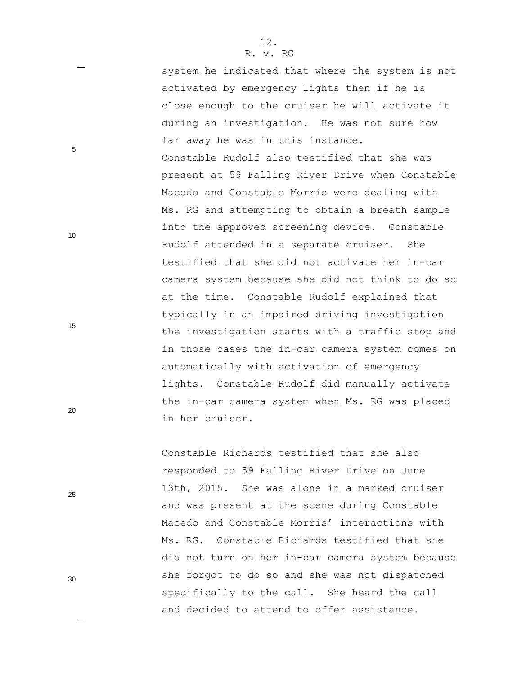system he indicated that where the system is not activated by emergency lights then if he is close enough to the cruiser he will activate it during an investigation. He was not sure how far away he was in this instance. Constable Rudolf also testified that she was present at 59 Falling River Drive when Constable Macedo and Constable Morris were dealing with Ms. RG and attempting to obtain a breath sample into the approved screening device. Constable Rudolf attended in a separate cruiser. She testified that she did not activate her in-car camera system because she did not think to do so at the time. Constable Rudolf explained that typically in an impaired driving investigation the investigation starts with a traffic stop and in those cases the in-car camera system comes on automatically with activation of emergency lights. Constable Rudolf did manually activate the in-car camera system when Ms. RG was placed in her cruiser.

Constable Richards testified that she also responded to 59 Falling River Drive on June 13th, 2015. She was alone in a marked cruiser and was present at the scene during Constable Macedo and Constable Morris' interactions with Ms. RG. Constable Richards testified that she did not turn on her in-car camera system because she forgot to do so and she was not dispatched specifically to the call. She heard the call and decided to attend to offer assistance.

25

5

10

15

20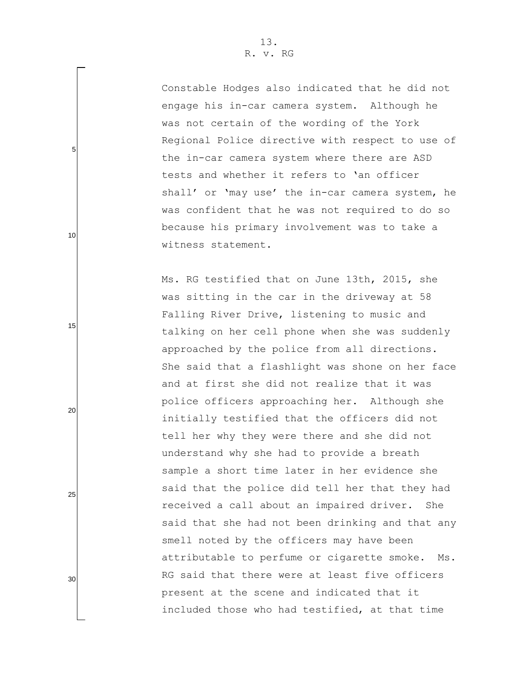5

10

15

20

25

30

Constable Hodges also indicated that he did not engage his in-car camera system. Although he was not certain of the wording of the York Regional Police directive with respect to use of the in-car camera system where there are ASD tests and whether it refers to "an officer shall' or 'may use' the in-car camera system, he was confident that he was not required to do so because his primary involvement was to take a witness statement.

Ms. RG testified that on June 13th, 2015, she was sitting in the car in the driveway at 58 Falling River Drive, listening to music and talking on her cell phone when she was suddenly approached by the police from all directions. She said that a flashlight was shone on her face and at first she did not realize that it was police officers approaching her. Although she initially testified that the officers did not tell her why they were there and she did not understand why she had to provide a breath sample a short time later in her evidence she said that the police did tell her that they had received a call about an impaired driver. She said that she had not been drinking and that any smell noted by the officers may have been attributable to perfume or cigarette smoke. Ms. RG said that there were at least five officers present at the scene and indicated that it included those who had testified, at that time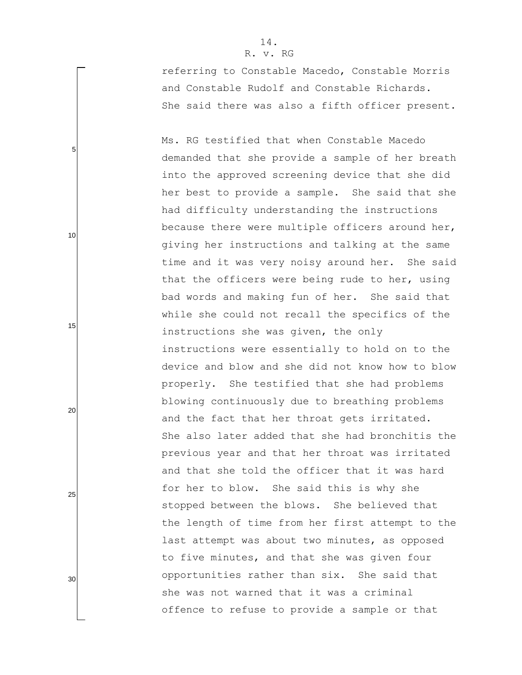5

10

15

20

25

30

referring to Constable Macedo, Constable Morris and Constable Rudolf and Constable Richards. She said there was also a fifth officer present.

Ms. RG testified that when Constable Macedo demanded that she provide a sample of her breath into the approved screening device that she did her best to provide a sample. She said that she had difficulty understanding the instructions because there were multiple officers around her, giving her instructions and talking at the same time and it was very noisy around her. She said that the officers were being rude to her, using bad words and making fun of her. She said that while she could not recall the specifics of the instructions she was given, the only instructions were essentially to hold on to the device and blow and she did not know how to blow properly. She testified that she had problems blowing continuously due to breathing problems and the fact that her throat gets irritated. She also later added that she had bronchitis the previous year and that her throat was irritated and that she told the officer that it was hard for her to blow. She said this is why she stopped between the blows. She believed that the length of time from her first attempt to the last attempt was about two minutes, as opposed to five minutes, and that she was given four opportunities rather than six. She said that she was not warned that it was a criminal offence to refuse to provide a sample or that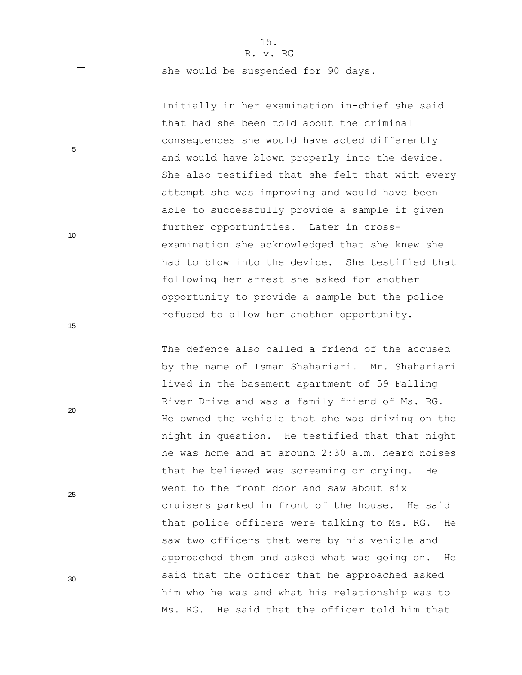she would be suspended for 90 days.

Initially in her examination in-chief she said that had she been told about the criminal consequences she would have acted differently and would have blown properly into the device. She also testified that she felt that with every attempt she was improving and would have been able to successfully provide a sample if given further opportunities. Later in crossexamination she acknowledged that she knew she had to blow into the device. She testified that following her arrest she asked for another opportunity to provide a sample but the police refused to allow her another opportunity.

The defence also called a friend of the accused by the name of Isman Shahariari. Mr. Shahariari lived in the basement apartment of 59 Falling River Drive and was a family friend of Ms. RG. He owned the vehicle that she was driving on the night in question. He testified that that night he was home and at around 2:30 a.m. heard noises that he believed was screaming or crying. He went to the front door and saw about six cruisers parked in front of the house. He said that police officers were talking to Ms. RG. He saw two officers that were by his vehicle and approached them and asked what was going on. He said that the officer that he approached asked him who he was and what his relationship was to Ms. RG. He said that the officer told him that

10

5

20

15

25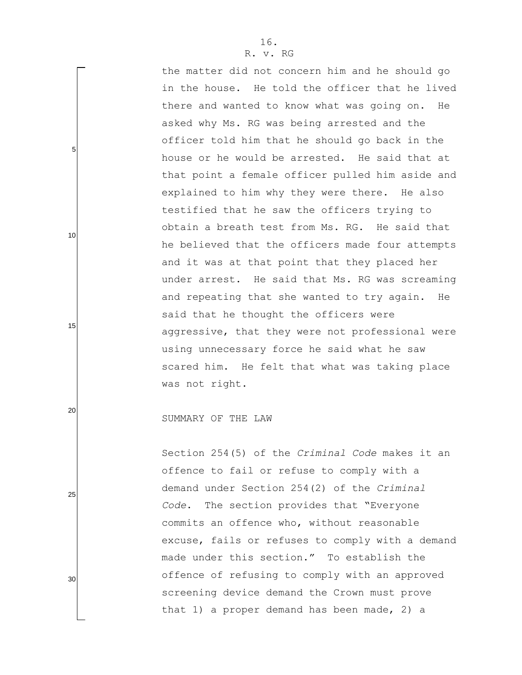the matter did not concern him and he should go in the house. He told the officer that he lived there and wanted to know what was going on. He asked why Ms. RG was being arrested and the officer told him that he should go back in the house or he would be arrested. He said that at that point a female officer pulled him aside and explained to him why they were there. He also testified that he saw the officers trying to obtain a breath test from Ms. RG. He said that he believed that the officers made four attempts and it was at that point that they placed her under arrest. He said that Ms. RG was screaming and repeating that she wanted to try again. He said that he thought the officers were aggressive, that they were not professional were using unnecessary force he said what he saw scared him. He felt that what was taking place was not right.

SUMMARY OF THE LAW

5

10

15

20

25

30

Section 254(5) of the *Criminal Code* makes it an offence to fail or refuse to comply with a demand under Section 254(2) of the *Criminal Code*. The section provides that "Everyone commits an offence who, without reasonable excuse, fails or refuses to comply with a demand made under this section." To establish the offence of refusing to comply with an approved screening device demand the Crown must prove that 1) a proper demand has been made, 2) a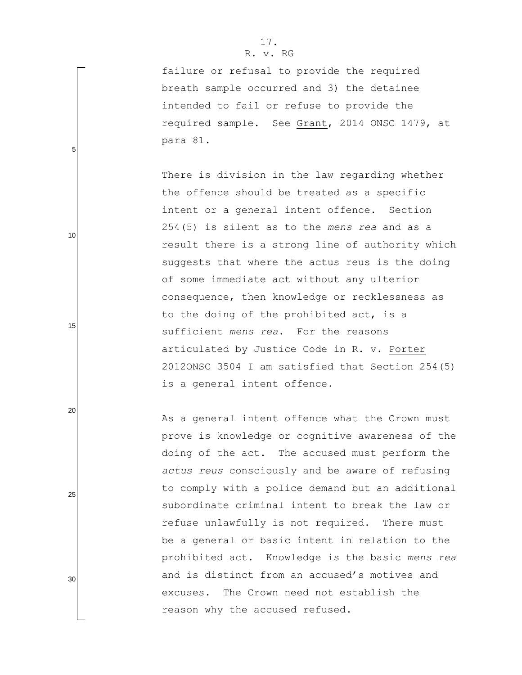failure or refusal to provide the required breath sample occurred and 3) the detainee intended to fail or refuse to provide the required sample. See Grant, 2014 ONSC 1479, at para 81.

There is division in the law regarding whether the offence should be treated as a specific intent or a general intent offence. Section 254(5) is silent as to the *mens rea* and as a result there is a strong line of authority which suggests that where the actus reus is the doing of some immediate act without any ulterior consequence, then knowledge or recklessness as to the doing of the prohibited act, is a sufficient *mens rea*. For the reasons articulated by Justice Code in R. v. Porter 2012ONSC 3504 I am satisfied that Section 254(5) is a general intent offence.

As a general intent offence what the Crown must prove is knowledge or cognitive awareness of the doing of the act. The accused must perform the *actus reus* consciously and be aware of refusing to comply with a police demand but an additional subordinate criminal intent to break the law or refuse unlawfully is not required. There must be a general or basic intent in relation to the prohibited act. Knowledge is the basic *mens rea* and is distinct from an accused's motives and excuses. The Crown need not establish the reason why the accused refused.

5

10

15

20

25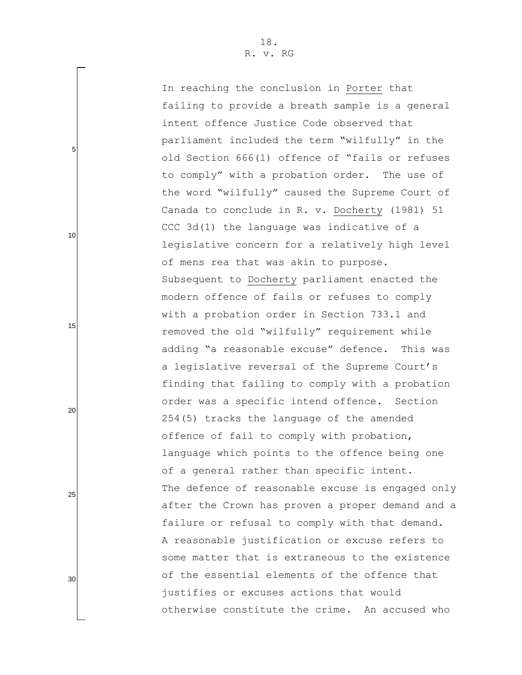In reaching the conclusion in Porter that failing to provide a breath sample is a general intent offence Justice Code observed that parliament included the term "wilfully" in the old Section 666(1) offence of "fails or refuses to comply" with a probation order. The use of the word "wilfully" caused the Supreme Court of Canada to conclude in R. v. Docherty (1981) 51 CCC 3d(1) the language was indicative of a legislative concern for a relatively high level of mens rea that was akin to purpose. Subsequent to Docherty parliament enacted the modern offence of fails or refuses to comply with a probation order in Section 733.1 and removed the old "wilfully" requirement while adding "a reasonable excuse" defence. This was a legislative reversal of the Supreme Court's finding that failing to comply with a probation order was a specific intend offence. Section 254(5) tracks the language of the amended offence of fail to comply with probation, language which points to the offence being one of a general rather than specific intent. The defence of reasonable excuse is engaged only after the Crown has proven a proper demand and a failure or refusal to comply with that demand. A reasonable justification or excuse refers to some matter that is extraneous to the existence of the essential elements of the offence that justifies or excuses actions that would otherwise constitute the crime. An accused who

5

10

15

20

25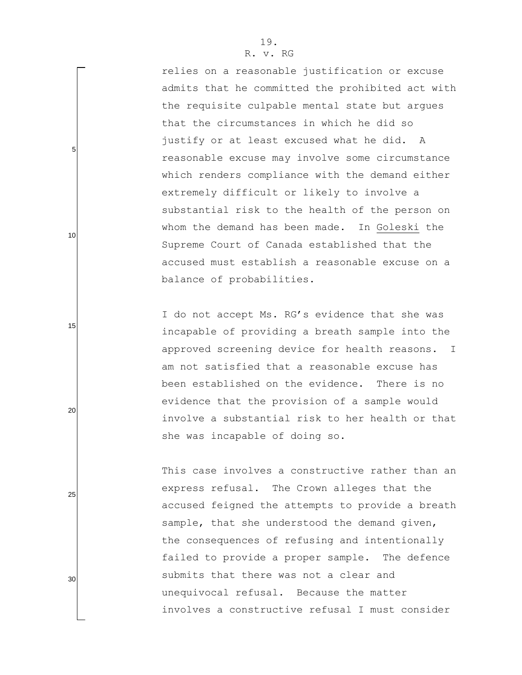relies on a reasonable justification or excuse admits that he committed the prohibited act with the requisite culpable mental state but argues that the circumstances in which he did so justify or at least excused what he did. A reasonable excuse may involve some circumstance which renders compliance with the demand either extremely difficult or likely to involve a substantial risk to the health of the person on whom the demand has been made. In Goleski the Supreme Court of Canada established that the accused must establish a reasonable excuse on a balance of probabilities.

I do not accept Ms. RG's evidence that she was incapable of providing a breath sample into the approved screening device for health reasons. I am not satisfied that a reasonable excuse has been established on the evidence. There is no evidence that the provision of a sample would involve a substantial risk to her health or that she was incapable of doing so.

This case involves a constructive rather than an express refusal. The Crown alleges that the accused feigned the attempts to provide a breath sample, that she understood the demand given, the consequences of refusing and intentionally failed to provide a proper sample. The defence submits that there was not a clear and unequivocal refusal. Because the matter involves a constructive refusal I must consider

25

20

5

10

15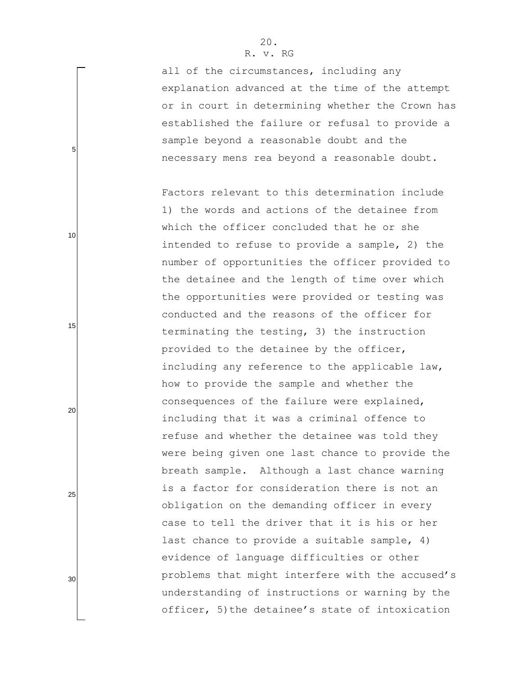all of the circumstances, including any explanation advanced at the time of the attempt or in court in determining whether the Crown has established the failure or refusal to provide a sample beyond a reasonable doubt and the necessary mens rea beyond a reasonable doubt.

Factors relevant to this determination include 1) the words and actions of the detainee from which the officer concluded that he or she intended to refuse to provide a sample, 2) the number of opportunities the officer provided to the detainee and the length of time over which the opportunities were provided or testing was conducted and the reasons of the officer for terminating the testing, 3) the instruction provided to the detainee by the officer, including any reference to the applicable law, how to provide the sample and whether the consequences of the failure were explained, including that it was a criminal offence to refuse and whether the detainee was told they were being given one last chance to provide the breath sample. Although a last chance warning is a factor for consideration there is not an obligation on the demanding officer in every case to tell the driver that it is his or her last chance to provide a suitable sample, 4) evidence of language difficulties or other problems that might interfere with the accused's understanding of instructions or warning by the officer, 5)the detainee"s state of intoxication

5

10

15

20

25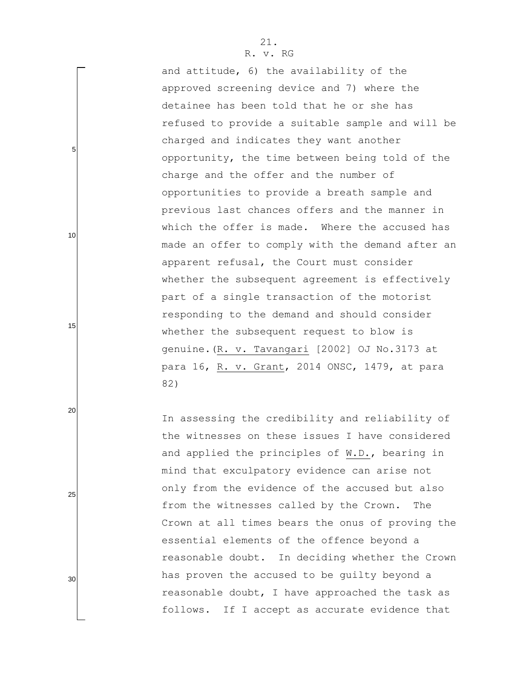5

10

15

20

25

30

and attitude, 6) the availability of the approved screening device and 7) where the detainee has been told that he or she has refused to provide a suitable sample and will be charged and indicates they want another opportunity, the time between being told of the charge and the offer and the number of opportunities to provide a breath sample and previous last chances offers and the manner in which the offer is made. Where the accused has made an offer to comply with the demand after an apparent refusal, the Court must consider whether the subsequent agreement is effectively part of a single transaction of the motorist responding to the demand and should consider whether the subsequent request to blow is genuine.(R. v. Tavangari [2002] OJ No.3173 at para 16, R. v. Grant, 2014 ONSC, 1479, at para 82)

In assessing the credibility and reliability of the witnesses on these issues I have considered and applied the principles of W.D., bearing in mind that exculpatory evidence can arise not only from the evidence of the accused but also from the witnesses called by the Crown. The Crown at all times bears the onus of proving the essential elements of the offence beyond a reasonable doubt. In deciding whether the Crown has proven the accused to be guilty beyond a reasonable doubt, I have approached the task as follows. If I accept as accurate evidence that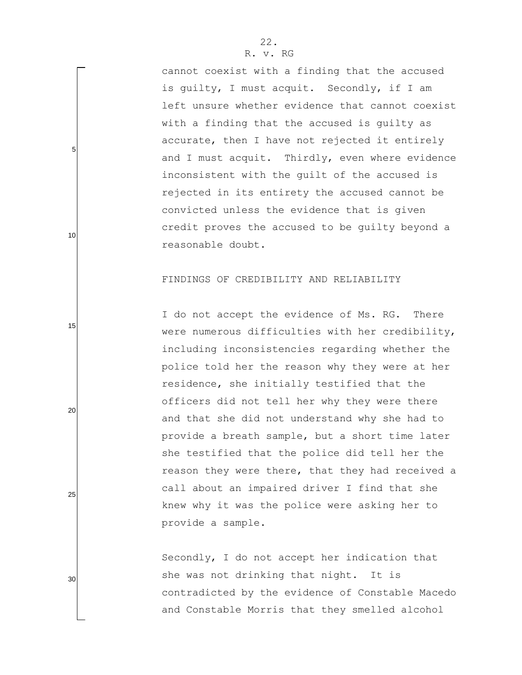cannot coexist with a finding that the accused is guilty, I must acquit. Secondly, if I am left unsure whether evidence that cannot coexist with a finding that the accused is guilty as accurate, then I have not rejected it entirely and I must acquit. Thirdly, even where evidence inconsistent with the guilt of the accused is rejected in its entirety the accused cannot be convicted unless the evidence that is given credit proves the accused to be guilty beyond a reasonable doubt.

## FINDINGS OF CREDIBILITY AND RELIABILITY

I do not accept the evidence of Ms. RG. There were numerous difficulties with her credibility, including inconsistencies regarding whether the police told her the reason why they were at her residence, she initially testified that the officers did not tell her why they were there and that she did not understand why she had to provide a breath sample, but a short time later she testified that the police did tell her the reason they were there, that they had received a call about an impaired driver I find that she knew why it was the police were asking her to provide a sample.

Secondly, I do not accept her indication that she was not drinking that night. It is contradicted by the evidence of Constable Macedo and Constable Morris that they smelled alcohol

25

5

10

15

20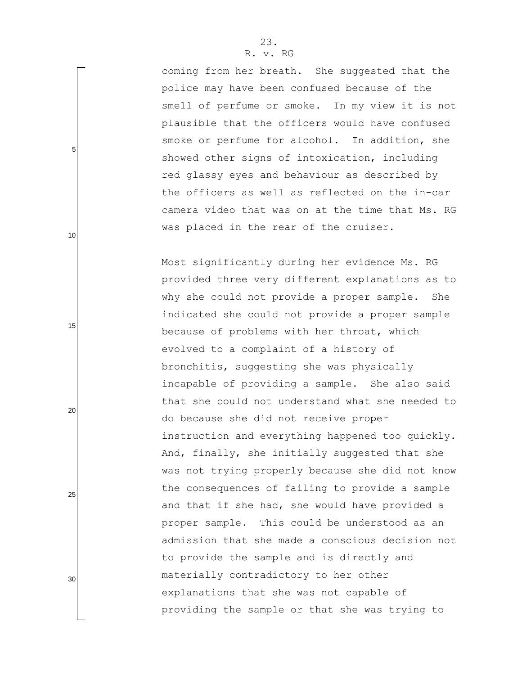coming from her breath. She suggested that the police may have been confused because of the smell of perfume or smoke. In my view it is not plausible that the officers would have confused smoke or perfume for alcohol. In addition, she showed other signs of intoxication, including red glassy eyes and behaviour as described by the officers as well as reflected on the in-car camera video that was on at the time that Ms. RG was placed in the rear of the cruiser.

Most significantly during her evidence Ms. RG provided three very different explanations as to why she could not provide a proper sample. She indicated she could not provide a proper sample because of problems with her throat, which evolved to a complaint of a history of bronchitis, suggesting she was physically incapable of providing a sample. She also said that she could not understand what she needed to do because she did not receive proper instruction and everything happened too quickly. And, finally, she initially suggested that she was not trying properly because she did not know the consequences of failing to provide a sample and that if she had, she would have provided a proper sample. This could be understood as an admission that she made a conscious decision not to provide the sample and is directly and materially contradictory to her other explanations that she was not capable of providing the sample or that she was trying to

5

10

20

15

25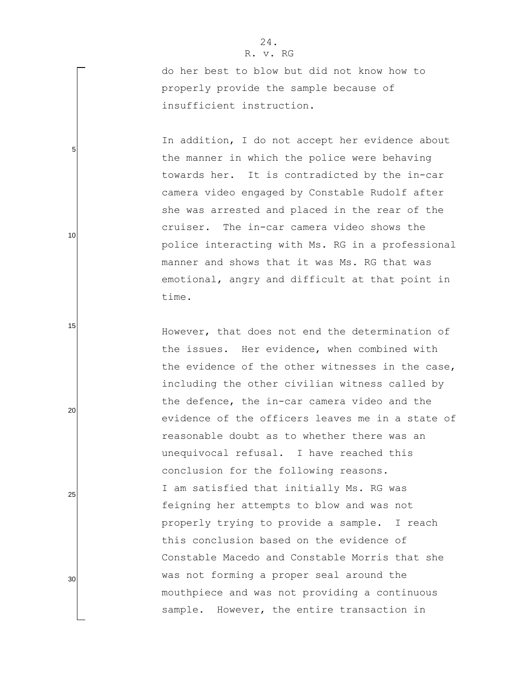5

10

15

20

25

30

do her best to blow but did not know how to properly provide the sample because of insufficient instruction.

In addition, I do not accept her evidence about the manner in which the police were behaving towards her. It is contradicted by the in-car camera video engaged by Constable Rudolf after she was arrested and placed in the rear of the cruiser. The in-car camera video shows the police interacting with Ms. RG in a professional manner and shows that it was Ms. RG that was emotional, angry and difficult at that point in time.

However, that does not end the determination of the issues. Her evidence, when combined with the evidence of the other witnesses in the case, including the other civilian witness called by the defence, the in-car camera video and the evidence of the officers leaves me in a state of reasonable doubt as to whether there was an unequivocal refusal. I have reached this conclusion for the following reasons. I am satisfied that initially Ms. RG was feigning her attempts to blow and was not properly trying to provide a sample. I reach this conclusion based on the evidence of Constable Macedo and Constable Morris that she was not forming a proper seal around the mouthpiece and was not providing a continuous sample. However, the entire transaction in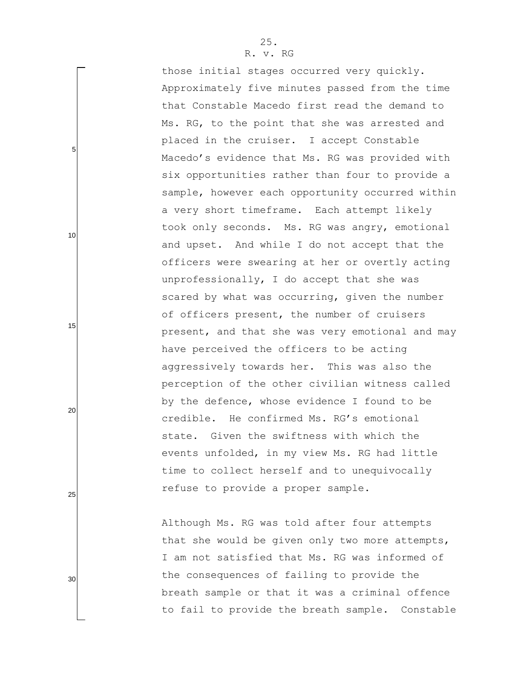those initial stages occurred very quickly. Approximately five minutes passed from the time that Constable Macedo first read the demand to Ms. RG, to the point that she was arrested and placed in the cruiser. I accept Constable Macedo"s evidence that Ms. RG was provided with six opportunities rather than four to provide a sample, however each opportunity occurred within a very short timeframe. Each attempt likely took only seconds. Ms. RG was angry, emotional and upset. And while I do not accept that the officers were swearing at her or overtly acting unprofessionally, I do accept that she was scared by what was occurring, given the number of officers present, the number of cruisers present, and that she was very emotional and may have perceived the officers to be acting aggressively towards her. This was also the perception of the other civilian witness called by the defence, whose evidence I found to be credible. He confirmed Ms. RG"s emotional state. Given the swiftness with which the events unfolded, in my view Ms. RG had little time to collect herself and to unequivocally refuse to provide a proper sample.

Although Ms. RG was told after four attempts that she would be given only two more attempts, I am not satisfied that Ms. RG was informed of the consequences of failing to provide the breath sample or that it was a criminal offence to fail to provide the breath sample. Constable

25

5

10

15

20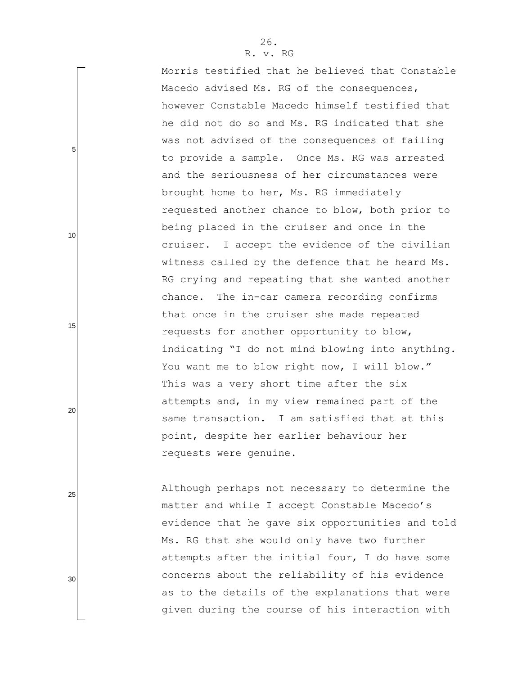5

10

15

20

25

30

Morris testified that he believed that Constable Macedo advised Ms. RG of the consequences, however Constable Macedo himself testified that he did not do so and Ms. RG indicated that she was not advised of the consequences of failing to provide a sample. Once Ms. RG was arrested and the seriousness of her circumstances were brought home to her, Ms. RG immediately requested another chance to blow, both prior to being placed in the cruiser and once in the cruiser. I accept the evidence of the civilian witness called by the defence that he heard Ms. RG crying and repeating that she wanted another chance. The in-car camera recording confirms that once in the cruiser she made repeated requests for another opportunity to blow, indicating "I do not mind blowing into anything. You want me to blow right now, I will blow." This was a very short time after the six attempts and, in my view remained part of the same transaction. I am satisfied that at this point, despite her earlier behaviour her requests were genuine.

Although perhaps not necessary to determine the matter and while I accept Constable Macedo's evidence that he gave six opportunities and told Ms. RG that she would only have two further attempts after the initial four, I do have some concerns about the reliability of his evidence as to the details of the explanations that were given during the course of his interaction with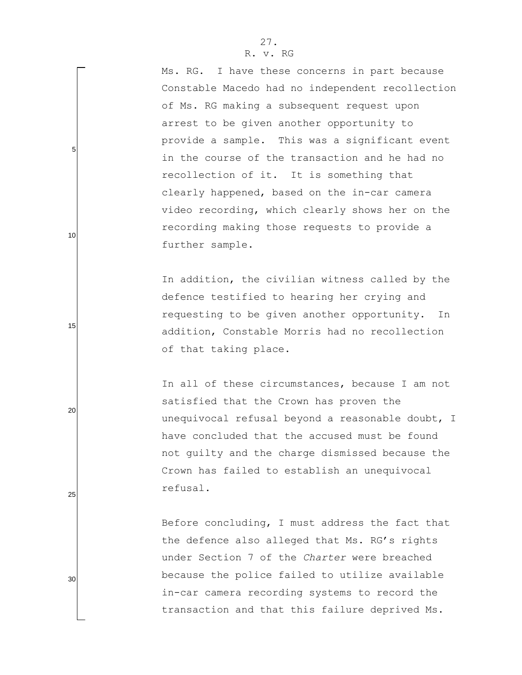Ms. RG. I have these concerns in part because Constable Macedo had no independent recollection of Ms. RG making a subsequent request upon arrest to be given another opportunity to provide a sample. This was a significant event in the course of the transaction and he had no recollection of it. It is something that clearly happened, based on the in-car camera video recording, which clearly shows her on the recording making those requests to provide a further sample.

In addition, the civilian witness called by the defence testified to hearing her crying and requesting to be given another opportunity. In addition, Constable Morris had no recollection of that taking place.

In all of these circumstances, because I am not satisfied that the Crown has proven the unequivocal refusal beyond a reasonable doubt, I have concluded that the accused must be found not guilty and the charge dismissed because the Crown has failed to establish an unequivocal refusal.

Before concluding, I must address the fact that the defence also alleged that Ms. RG"s rights under Section 7 of the *Charter* were breached because the police failed to utilize available in-car camera recording systems to record the transaction and that this failure deprived Ms.

25

5

10

15

20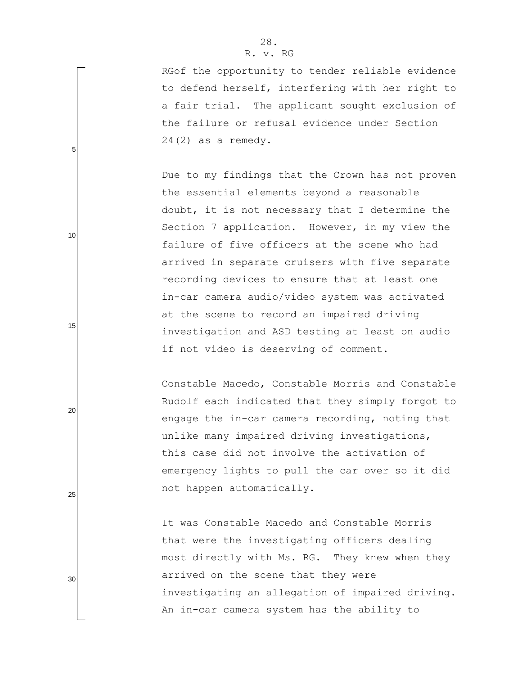RGof the opportunity to tender reliable evidence to defend herself, interfering with her right to a fair trial. The applicant sought exclusion of the failure or refusal evidence under Section 24(2) as a remedy.

Due to my findings that the Crown has not proven the essential elements beyond a reasonable doubt, it is not necessary that I determine the Section 7 application. However, in my view the failure of five officers at the scene who had arrived in separate cruisers with five separate recording devices to ensure that at least one in-car camera audio/video system was activated at the scene to record an impaired driving investigation and ASD testing at least on audio if not video is deserving of comment.

Constable Macedo, Constable Morris and Constable Rudolf each indicated that they simply forgot to engage the in-car camera recording, noting that unlike many impaired driving investigations, this case did not involve the activation of emergency lights to pull the car over so it did not happen automatically.

It was Constable Macedo and Constable Morris that were the investigating officers dealing most directly with Ms. RG. They knew when they arrived on the scene that they were investigating an allegation of impaired driving. An in-car camera system has the ability to

25

5

10

15

20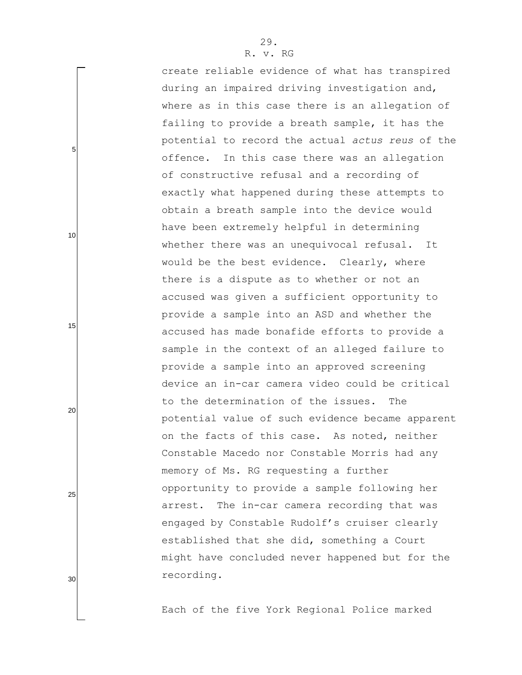create reliable evidence of what has transpired during an impaired driving investigation and, where as in this case there is an allegation of failing to provide a breath sample, it has the potential to record the actual *actus reus* of the offence. In this case there was an allegation of constructive refusal and a recording of exactly what happened during these attempts to obtain a breath sample into the device would have been extremely helpful in determining whether there was an unequivocal refusal. It would be the best evidence. Clearly, where there is a dispute as to whether or not an accused was given a sufficient opportunity to provide a sample into an ASD and whether the accused has made bonafide efforts to provide a sample in the context of an alleged failure to provide a sample into an approved screening device an in-car camera video could be critical to the determination of the issues. The potential value of such evidence became apparent on the facts of this case. As noted, neither Constable Macedo nor Constable Morris had any memory of Ms. RG requesting a further opportunity to provide a sample following her arrest. The in-car camera recording that was engaged by Constable Rudolf"s cruiser clearly established that she did, something a Court might have concluded never happened but for the recording.

Each of the five York Regional Police marked

30

5

10

15

20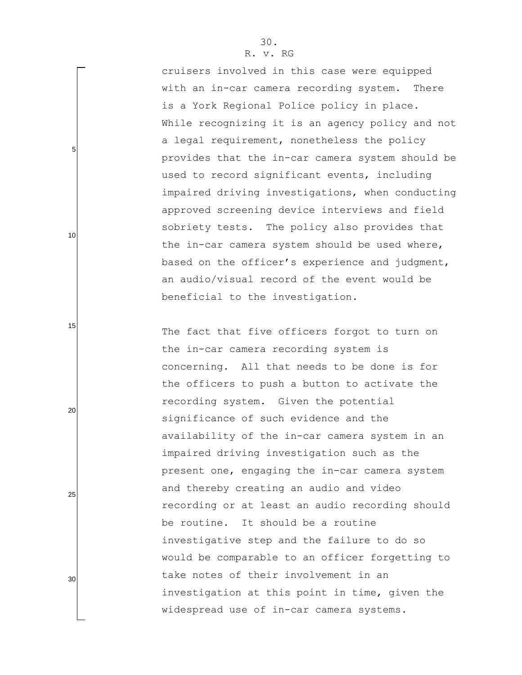cruisers involved in this case were equipped with an in-car camera recording system. There is a York Regional Police policy in place. While recognizing it is an agency policy and not a legal requirement, nonetheless the policy provides that the in-car camera system should be used to record significant events, including impaired driving investigations, when conducting approved screening device interviews and field sobriety tests. The policy also provides that the in-car camera system should be used where, based on the officer"s experience and judgment, an audio/visual record of the event would be beneficial to the investigation.

The fact that five officers forgot to turn on the in-car camera recording system is concerning. All that needs to be done is for the officers to push a button to activate the recording system. Given the potential significance of such evidence and the availability of the in-car camera system in an impaired driving investigation such as the present one, engaging the in-car camera system and thereby creating an audio and video recording or at least an audio recording should be routine. It should be a routine investigative step and the failure to do so would be comparable to an officer forgetting to take notes of their involvement in an investigation at this point in time, given the widespread use of in-car camera systems.

15

20

10

5

30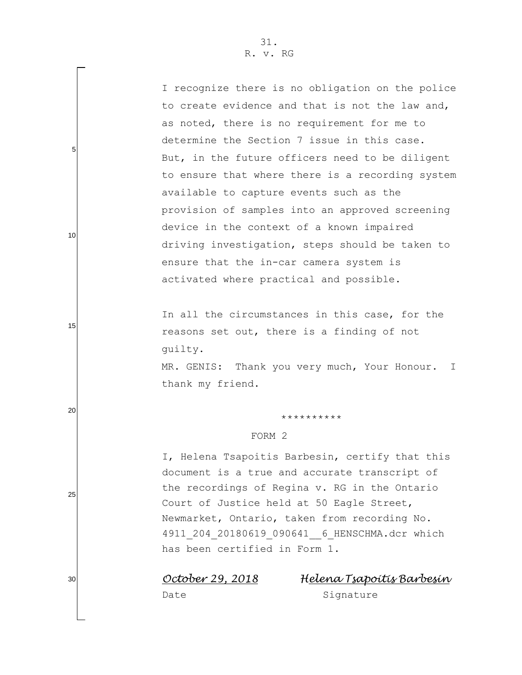5

10

15

20

25

30

| I recognize there is no obligation on the police |
|--------------------------------------------------|
| to create evidence and that is not the law and,  |
| as noted, there is no requirement for me to      |
| determine the Section 7 issue in this case.      |
| But, in the future officers need to be diligent  |
| to ensure that where there is a recording system |
| available to capture events such as the          |
| provision of samples into an approved screening  |
| device in the context of a known impaired        |
| driving investigation, steps should be taken to  |
| ensure that the in-car camera system is          |
| activated where practical and possible.          |

In all the circumstances in this case, for the reasons set out, there is a finding of not guilty.

MR. GENIS: Thank you very much, Your Honour. I thank my friend.

#### \*\*\*\*\*\*\*\*\*\*

## FORM 2

I, Helena Tsapoitis Barbesin, certify that this document is a true and accurate transcript of the recordings of Regina v. RG in the Ontario Court of Justice held at 50 Eagle Street, Newmarket, Ontario, taken from recording No. 4911\_204\_20180619\_090641\_\_6\_HENSCHMA.dcr which has been certified in Form 1.

*October 29, 2018 Helena Tsapoitis Barbesin* 

Date Signature